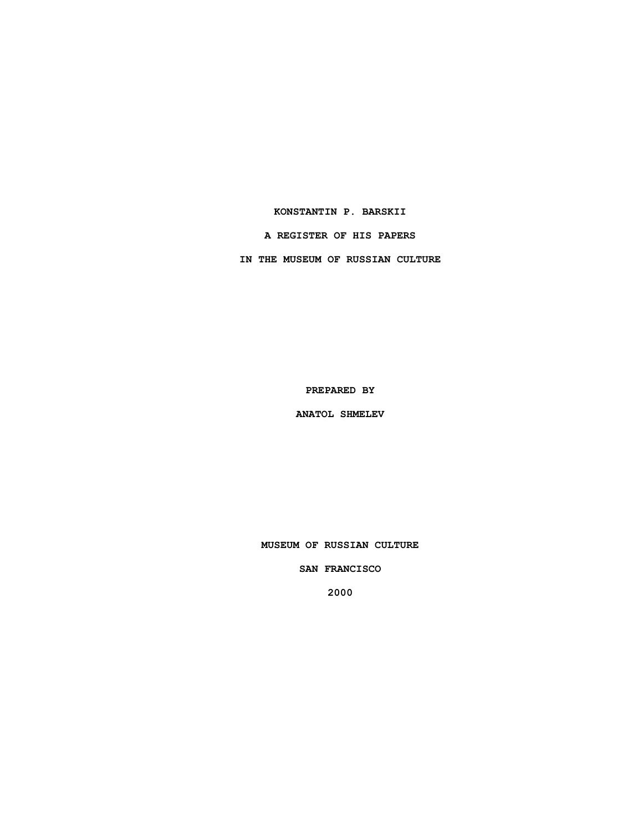### **KONSTANTIN P. BARSKII**

## **A REGISTER OF HIS PAPERS**

**IN THE MUSEUM OF RUSSIAN CULTURE**

**PREPARED BY**

**ANATOL SHMELEV**

**MUSEUM OF RUSSIAN CULTURE**

**SAN FRANCISCO**

**2000**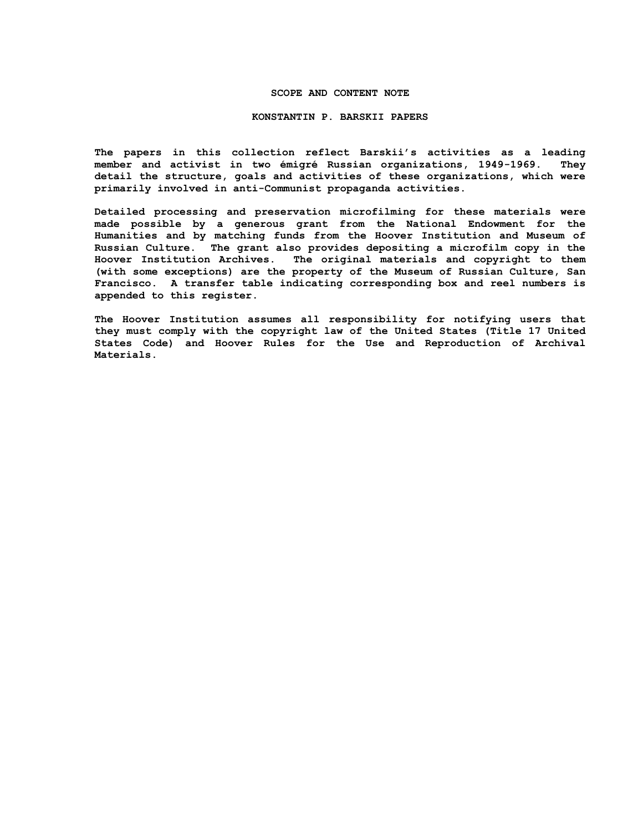## **SCOPE AND CONTENT NOTE**

#### **KONSTANTIN P. BARSKII PAPERS**

**The papers in this collection reflect Barskii's activities as a leading member and activist in two émigré Russian organizations, 1949-1969. They detail the structure, goals and activities of these organizations, which were primarily involved in anti-Communist propaganda activities.**

**Detailed processing and preservation microfilming for these materials were made possible by a generous grant from the National Endowment for the Humanities and by matching funds from the Hoover Institution and Museum of Russian Culture. The grant also provides depositing a microfilm copy in the Hoover Institution Archives. The original materials and copyright to them (with some exceptions) are the property of the Museum of Russian Culture, San Francisco. A transfer table indicating corresponding box and reel numbers is appended to this register.**

**The Hoover Institution assumes all responsibility for notifying users that they must comply with the copyright law of the United States (Title 17 United States Code) and Hoover Rules for the Use and Reproduction of Archival Materials.**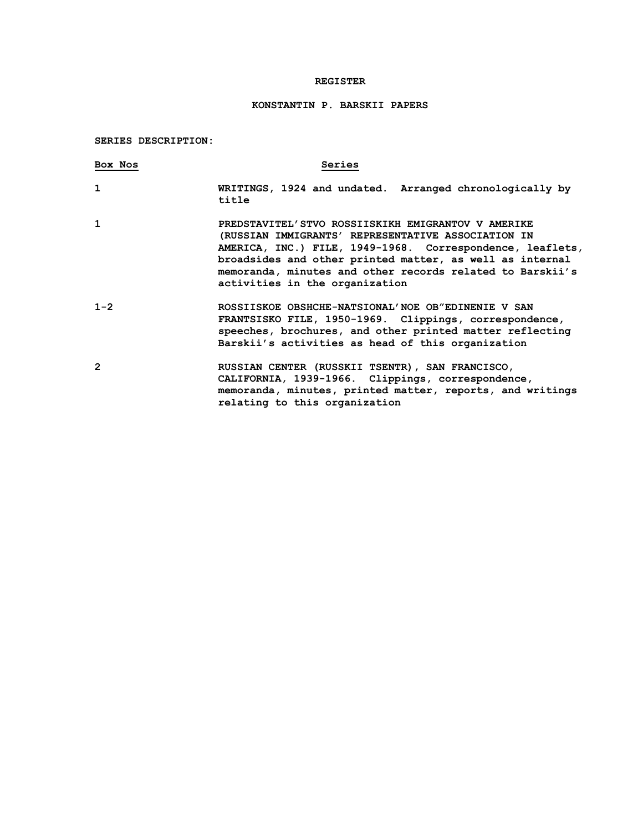## **REGISTER**

# **KONSTANTIN P. BARSKII PAPERS**

# **SERIES DESCRIPTION:**

| Box Nos        | Series                                                                                                                                                                                                                                                                                                                           |
|----------------|----------------------------------------------------------------------------------------------------------------------------------------------------------------------------------------------------------------------------------------------------------------------------------------------------------------------------------|
| 1              | WRITINGS, 1924 and undated. Arranged chronologically by<br>title                                                                                                                                                                                                                                                                 |
| $\mathbf{1}$   | PREDSTAVITEL'STVO ROSSIISKIKH EMIGRANTOV V AMERIKE<br>(RUSSIAN IMMIGRANTS' REPRESENTATIVE ASSOCIATION IN<br>AMERICA, INC.) FILE, 1949-1968. Correspondence, leaflets,<br>broadsides and other printed matter, as well as internal<br>memoranda, minutes and other records related to Barskii's<br>activities in the organization |
| $1 - 2$        | ROSSIISKOE OBSHCHE-NATSIONAL'NOE OB"EDINENIE V SAN<br>FRANTSISKO FILE, 1950-1969. Clippings, correspondence,<br>speeches, brochures, and other printed matter reflecting<br>Barskii's activities as head of this organization                                                                                                    |
| $\overline{2}$ | RUSSIAN CENTER (RUSSKII TSENTR), SAN FRANCISCO,<br>CALIFORNIA, 1939-1966. Clippings, correspondence,<br>memoranda, minutes, printed matter, reports, and writings<br>relating to this organization                                                                                                                               |